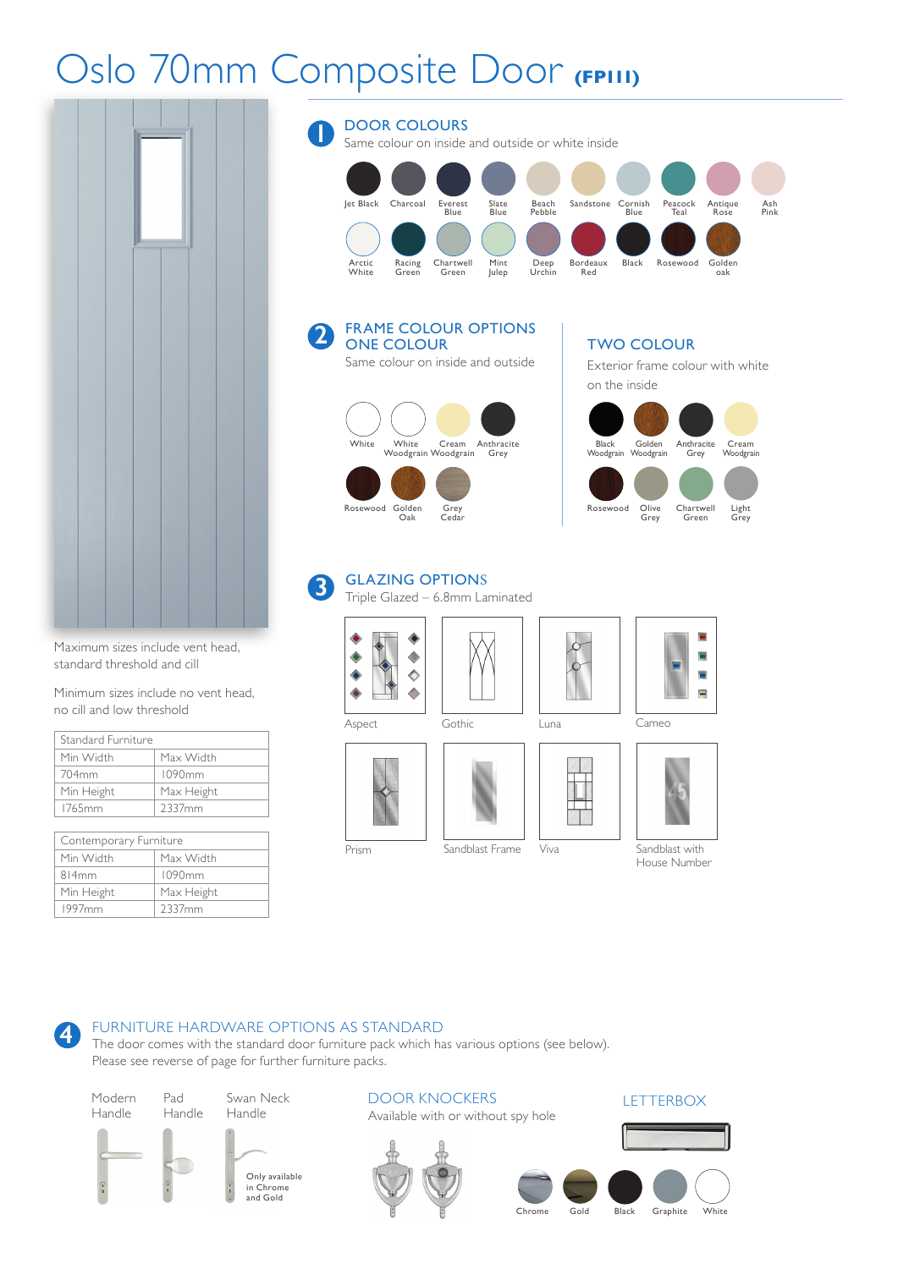## Oslo 70mm Composite Door **(FP111)**

**2**



Maximum sizes include vent head, standard threshold and cill

Minimum sizes include no vent head, no cill and low threshold

| Standard Furniture |            |
|--------------------|------------|
| Min Width          | Max Width  |
| 704mm              | 1090mm     |
| Min Height         | Max Height |
| 1765mm             | 2337mm     |

| Contemporary Furniture |            |  |
|------------------------|------------|--|
| Min Width              | Max Width  |  |
| 814mm                  | 1090mm     |  |
| Min Height             | Max Height |  |
| 1997 <sub>mm</sub>     | 2337mm     |  |

## DOOR COLOURS Same colour on inside and outside or white inside Jet Black Charcoal Everest Slate Beach Sandstone Cornish Peacock Antique Ash Blue Blue Pebble Blue Teal Rose Pink Arctic Racing Chartwell Mint Deep Bordeaux Black Rosewood Golden Bordeaux<br>Red **1**

# ONE COLOUR Same colour on inside and outside

FRAME COLOUR OPTIONS



### TWO COLOUR

Exterior frame colour with white on the inside



#### GLAZING OPTIONS **3**

Triple Glazed – 6.8mm Laminated









۰ Ξ Ξ Ξ



House Number



Prism Sandblast Frame

### Viva Sandblast with

FURNITURE HARDWARE OPTIONS AS STANDARD **4**

The door comes with the standard door furniture pack which has various options (see below). Please see reverse of page for further furniture packs.